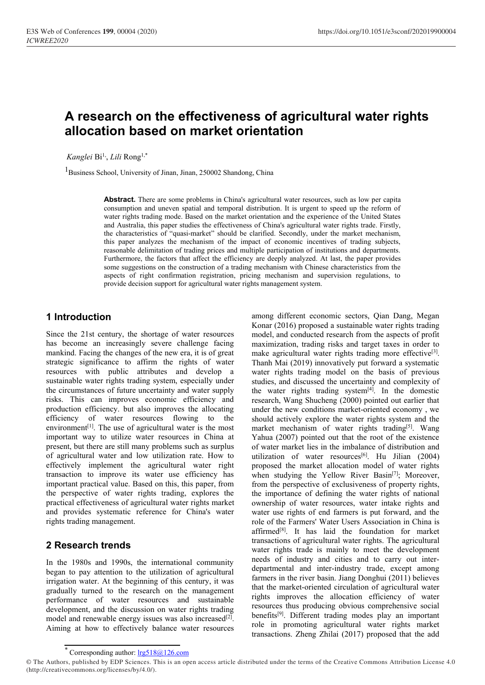# Conferences 199, 00004 (2020)<br> **A research on the effectiveness of agricultural water rights<br>
allocation based on market orientation**<br>
Kanglei Bi<sup>1</sup>, Lili Rong<sup>1,\*</sup><br>
<sup>I</sup>Business School, University of Jinan, Jinan, 250002 S Conferences 199, 00004 (2020)<br> **allocation on the effectiveness of agricultural water rights<br>
<b>allocation based on market orientation**<br> *Kanglei* Bi<sup>1</sup>, *Lili* Rong<sup>1,\*</sup><br>
<sup>1</sup>Business School, University of Jinan, Jinan, 250 **A research on the effectiveness of agricultural way**<br> **allocation based on market orientation**<br> *Kanglei* Bi<sup>1</sup>, *Lili* Rong<sup>1,\*</sup><br>
<sup>1</sup>Business School, University of Jinan, Jinan, 250002 Shandong, China<br> **Abstract.** There

*Kanglei* Bi1,, *Lili* Rong<sup>1</sup>,\*

**Abstract. There are some problems in China's agricultural water rights<br>
Abstract. There are some problems in China's agricultural water resources, such as low per capita<br>
Abstract. There are some problems in China's agric anch on the effectiveness of agricultural water rights<br>
tion based on market orientation<br>
i.,** *Lili* **Rong<sup>1,\*</sup><br>
hool, University of Jinan, Jinan, 250002 Shandong, China<br>
<b>Abstract**. There are some problems in China's agri **anch on the effectiveness of agricultural water rights**<br> **the market orientation**<br> **the market state of the market orientation**<br> **Abstract**. There are some problems in China's agricultural water resources, such as low per **and China's China Australia, the effectiveness of additional water rights<br>
L<sub>1</sub>,** *Lili* **Rong<sup>1,\*</sup><br>
hool, University of Jinan, Jinan, 250002 Shandong, China<br>
<b>Abstract**. There are some problems in China's agricultural wate **Community:** Figure 1. The computation of the market orientation is the market characteristic of Ninan, University of Jinan, 250002 Shandong, China<br>
Abstract. There are some problems in China's agricultural water resource **Example 10.11 THERT ACT OF THE ITERT AND THE MEAT CONDUCT CONDUCT CONDUCT**<br> **Abstract.** There are some problems in China's agricultural water resources, such as low per capita<br>
consumption and uneven spatial and temporal <sup>1,</sup> *Lili* Rong<sup>1,\*</sup><br>
<sup>1</sup>, *Lili* Rong<sup>1,\*</sup><br> **Abstract**. There are some problems in China's agricultural water resources, such as low per capita<br>
consumption and uneven spatial and temporal distribution. It is urgent to s <sup>1</sup>, *Lili* Rong<sup>1,\*</sup><br> **Abstract**. There are some problems in China's agricultural water resources, such as low per capita<br>
consumption and uneven spatial and temporal distribution. It is urgent to speed up the reform of<br> s, *LHI* KOng<sup>-1</sup>, *CHII* KOng<sup>-1</sup>, *CHII* KOng<sup>-1</sup>, *China*, *250002* Shandong, *China* agricultural water resources, such as low per capita consumption and uneven spatial and temporal distribution. It is urgent to speed hool, University of Jinan, Jinan, 250002 Shandong, China<br> **Abstract**. There are some problems in China's agricultural water resources, such as low per capita<br>
consumption and uneven spatial and temporal distribution. It is moon, onversity of sman, sman, 250002 shandong, china<br> **Abstract**. There are some problems in China's agricultural water resources, such as low per capita<br>
consumption and uneven spatial and temporal distribution. It is ur **Abstract.** There are some problems in consumption and uneven spatial and term water rights trading mode. Based on the and Australia, this paper studies the effect the characteristics of "quasi-market" shis paper analyzes water rights trading mode. Based on the market orientation and the experies<br>
and Australia, this paper studies the effectiveness of China's agricultural w<br>
the characteristics of "quasi-market" should be clarified. Secondl and Australia, this paper studies the effectiveness of China's agricultural water<br>the characteristics of "quasi-market" should be clarined. Secondly, under the<br>this paper analyzes the mechanism of the impact of cconomic in the characteristics of "quasi-market" should be clarified. Secondly, under the<br>
this paper and yzes the mechanism of the impact of economic incentives<br>
reasonable delimitation of rading prices and multiple participation of gricultural water resources, such as low per capita<br>stribution. It is urgent to speed up the reform of<br>vientation and the experience of the United States<br>of China's agricultural water rights trade. Firstly,<br>act of Conomic Stribution. It is urgent to speed up the reform of<br>vientation and the experience of the United States<br>of China's agricultural water rights trade. Firstly,<br>larified. Secondly, under the market mechanism,<br>acat of economic in

this paper analyzes the mechanism of the impact of economic incentives<br>
reasonable delimitation of radiag prices and multiple participation of institution<br>
Furthermore, the factors that affect the efficiency are deeply ana resonable dentitation of trading prices and multiple participation of institutions are<br>Furthermore, the factors that ffect efficiency are deeply analyzed. At last, the<br>some suggestions on the construction of a trading mech Funtermore, the tactors that atter enticelities and developed and supervisor. At also some suggestions on the construction of a trading mechanism and supervistic approvide decision support for agricultural water rights man some suggestoms of the construction of a diamy incertaint with efficiency<br>appects of right confirmation registration, pricing mechanism and super<br>provide decision support for agricultural water rights management system.<br> **1 Introduction**<br>
provide decision support for agricultural water rights management system.<br> **1 Introduction**<br>
Since the 21st century, the shortage of water resources and conditional model and conditional trading risk **1 Introduction**<br> **Examplementary** and the also the also the also improved the also improves the allocation of market and increasingly severe challenge facing maximization, trading the changes of the new era, it is of gre **1 Introduction** among different economic s<br>
Since the 21st century, the shortage of water resources model, and conducted researce<br>
has become an increasingly severe challenge facing maximization, trading risks a<br>
mankind **1 Introduction**<br>
Since the 21st century, the shortage of water resources<br>
Since the 21st century, the shortage of water resources<br>
maximization, trading risks<br>
mankind. Facing the changes of the new era, it is of great<br> **1 Introduction**<br>
Since the 21st century, the shortage of water resources<br>
Model, and conducted aresearch<br>
has become an increasingly severe challenge facing<br>
maximization, trading risks an<br>
mankind. Facing the changes of Since the 21st century, the shortage of water resources model, and conducted resources has become an increasingly severe challenge facing maximization, trading in smankind. Facing the changes of the new era, it is of great Since the 21st century, the shortage of water resources<br>
has become an increasingly sever challenge facing that maximization, trading risks am<br>
mankind. Facing the changes of the new era, it is of great<br>
strategic signific and become an increasingly severe chaining and maximization, trading risks<br>
maximization, trading the agricultural vater rights of the new era, it is of great<br>
strategic significance to affirm the rights of water Thanh Mai manking incompromusion of afficing incomparison of the mew era, it is or great make agricultural water right<br>strategic is gnificance to affirm the rights of water rights and develop<br>sustainable water rights trading system strategic signincance to arithm the rights and wealthy and the sources with public attributes and develop a<br>
sustainable water rights trading system, especially under<br>
the circumstances of future uncertainty and water supp resources win public attroutes and develop a<br>sustainable water rights trading model<br>sustainable water inghts trading system, especially under<br>the circumstances of future uncertainty and water supply<br>the water rights tradin sustainable water rights trading system, especially under<br>
the circumstances of future uncertainty and water supply<br>
risks. This can improves economic efficiency and<br>
risks. This can improves economic efficiency and<br>
produ the criterial content and water supply<br>
interventing and water supply<br>
the water rights transity<br>
and production efficiency. but also improves the allocating<br>
production efficiency of water resources flowing to the<br>
enviro risks. This can improves economic efficiency<br>production efficiency. but also improves the allocefficiency of water resources flowing to<br>environment<sup>[1]</sup>. The use of agricultural water is the<br>important way to utilize water production efficiency. but also improves the allocating<br>efficiency of water resources flowing to the<br>environment<sup>[1]</sup>. The use of agricultural water is the most<br>important way to utilize water resources in China at<br>present, present, but there are still many problems such as surplus<br>
of agricultural water and low utilization rate. How to<br>
effectively implement the agricultural water right<br>
transaction of water market lies internation to improv of agricultural water and low utilization rate. How to<br>
effectively implement the agricultural water right<br>
transaction to improve its water use efficiency has<br>
the proposed the market<br>
transaction to improve its water use

**ExamplementSolution**<br>
examples the international community<br>
that to pay attention to the utilization of agricultural<br>
tion water rights<br>
departmental<br>
departmental<br>
farmers in the<br>
ally turned to the research on the man transaction to improve its water use efficiency has<br>
important practical value. Based on this, this paper, from<br>
the perspective<br>
the perspective of water rights trading, explores the importance of c<br>
practical effectiven mportant practical value. Based on this, this paper, from<br>
the perspective the perspective of water rights trading, explores the<br>
practical effectiveness of agricultural water rights market<br>
explores the importance of de<br> the perspective of water rights trading, explores the the importance of definition practical effectiveness of agricultural water rights market in contenting of water resources and provides systematic reference for China's practical effectiveness of agricultural water rights market<br>and provides systematic reference for China's water water use rights of encergibits trading management.<br> **2 Research trends** that the transitions of agricultural

effectively implement the agricultural water right<br>
transaction to improve its water use efficiency has<br>
when studying the Yellow<br>
important practical value. Based on this, this paper, from<br>
the prespective of exclume<br>
the interiorial and the experience of the United States<br>of China's agricultural water rights trade. Firstly,<br>clarified. Secondly, under the market mechanism,<br>act of economic incentives of trading subjects,<br>tiple participation of China's agricultural water rights trade. Firstly,<br>clarified. Secondly, under the market mechanism,<br>act of economic incentives of trading subjects,<br>tiple participation of institutions and departments.<br>*r* are deeply anal clarified. Secondly, under the market mechanism,<br>tiple participation of institutions and departments.<br>tiple participation of institutions and departments.<br>mechanism with Chinese characteristics from the<br>ing mechanism with the participation of institutions and departments.<br> *The deeply analyzed.* At last, the paper provides<br>
in mechanism with Chinese characteristics from the<br>
ing mechanism and supervision regulations, to<br>
this management sy are deeply analyzed. At last, the paper phovids<br>in mechanism with Chinese characteristics from the<br>ing mechanism and supervision regulations, to<br>this management system.<br>among different economic sectors, Qian Dang, Megan<br>K The<br>continuity with emission and supervision regulations, to<br>this management system.<br>
among different economic sectors, Qian Dang, Megan<br>
Konar (2016) proposed a sustainable water rights trading<br>
model, and conducted rese the management system.<br>
among different economic sectors, Qian Dang, Megan<br>
Konar (2016) proposed a sustainable water rights trading<br>
model, and conducted research from the aspects of profit<br>
maximization, trading risks a among different economic sectors, Qian Dang, Megan<br>Konar (2016) proposed a sustainable water rights trading<br>model, and conducted research from the aspects of profit<br>maximization, trading risks and target taxes in order to among different economic sectors, Qian Dang, Megan<br>Konar (2016) proposed a sustainable water rights trading<br>model, and conducted research from the aspects of profit<br>maximization, trading risks and target taxes in order to among different economic sectors, Qian Dang, Megan<br>Konar (2016) proposed a sustainable water rights trading<br>model, and conducted research from the aspects of profit<br>maximization, trading risks and target taxes in order to among unterent economic sectors, Qan Dang, Megan<br>Konar (2016) proposed a sustainable water rights trading<br>model, and conducted research from the aspects of profit<br>maximization, trading risks and target taxes in order to<br>m Konar (2016) proposed a sustainable water rights trading<br>model, and conducted research from the aspects of profit<br>maximization, trading risks and target taxes in order to<br>make agricultural water rights trading more effect model, and conducted research from the aspects of profit<br>maximization, trading risks and target taxes in order to<br>make agricultural water rights trading more effective<sup>[3]</sup>.<br>Thanh Mai (2019) innovatively put forward a sys maximization, traung risks and target taxes in order to<br>make agricultural water rights trading more effective<sup>[3]</sup>.<br>Thanh Mai (2019) imovatively put forward a systematic<br>water rights trading model on the basis of previous make agricultural water rights trading more errective<sup>[5]</sup>.<br>Thanh Mai (2019) innovatively put forward a systematic water rights trading model on the basis of previous studies, and discussed the uncertainty and complexity Fram Mai (2019) innovatively put forward a systematic<br>studies, and discussed the uncertainty and complexity of<br>the water rights trading system<sup>[4]</sup>. In the domestic<br>research, Wang Shucheng (2000) pointed out earlier that<br> water rights trading model on the basis of previous<br>studies, and discussed the uncertainty and complexity of<br>the water rights trading system<sup>[4]</sup>. In the domestic<br>research, Wang Shucheng (2000) pointed out earlier that<br>un studies, and discussed the uncertainty and complexity of<br>the water rights trading system<sup>[4]</sup>. In the domestic<br>research, Wang Shucheng (2000) pointed out earlier that<br>under the new conditions market-oriented economy, we<br>s the water rights trading system<sup>13</sup>. In the domestic<br>research, Wang Shucheng (2000) pointed out earlier that<br>under the new conditions market-oriented economy, we<br>should actively explore the water rights system and the<br>mark research, wang Snucheng (2000) pointed out earlier that<br>under the new conditions market-oriented economy, we<br>should actively explore the water rights system and the<br>market mechanism of water rights trading<sup>[5]</sup>. Wang<br>Yahua under the new condultons market-oriented economy, we<br>should actively explore the water rights trading<sup>[5]</sup>. Wany<br>market mechanism of water rights trading<sup>[5]</sup>. Wany<br>Yahua (2007) pointed out that the root of the existence<br> should actively explore the water rights system and the market mechanism of water rights trading<sup>[5]</sup>. Wang Yahua (2007) pointed out that the root of the existence of distribution and utilization of water resources<sup>[6]</sup>. market mechanism of water rights trading<sup>157</sup>. wang<br>
Yahua (2007) pointed out that the root of the existence<br>
of water market lies in the imbalance of distribution and<br>
utilization of water resources<sup>[6]</sup>. Hu Jilian (2004 ranua (2007) pointed out that the root of the existence<br>of water market lies in the imbalance of distribution and<br>utilization of water resources<sup>[6]</sup>. Hu Jilian (2004)<br>proposed the market allocation model of water rights<br> of water market hes in the imporance of distribution and<br>utilization of water resources<sup>[6]</sup>. Hu Jilian (2004)<br>proposed the market allocation model of water rights<br>when studying the Yellow River Basin<sup>[7]</sup>; Moreover,<br>when dimization of water resources<sup>1,3</sup>. Ful Jinan (2004)<br>proposed the market allocation model of water rights<br>when studying the Yellow River Basin<sup>[7]</sup>; Moreover,<br>from the perspective of exclusiveness of property rights,<br>the i proposed the market allocation model of water rights<br>when studying the Yellow River Basin<sup>[7]</sup>; Moreover,<br>from the perspective of echusiveness of property rights,<br>the importance of defining the water rights of national<br>own when studying the Yellow Kiver Bashi<sup>1,1</sup>; Moreover,<br>from the perspective of ecclusiveness of property rights,<br>the importance of defining the water rights of national<br>ownership of water resources, water intake rights and<br> rom the perspective of exclusiveness of property rights,<br>the importance of defining the water rights of national<br>ownership of water resources, water intake rights and<br>water use rights of end farmers is put forward, and the the importance or derining the water rights or national<br>ownership of water resources, water intake rights and<br>water use rights of end farmers is put forward, and the<br>role of the Farmers' Water Users Association in China is ownership of water resources, water intake rights and<br>water use rights of end farmers is put forward, and the<br>role of the Farmers' Water Users Association in China is<br>affirmed<sup>[8]</sup>. It has laid the foundation for market<br>t water use rights of end tarmers is put forward, and the role of the Farmers' Water Users Association in China is affirmed<sup>[83</sup>. It has laid the foundation for market transactions of agricultural water rights. The agricultu

<sup>©</sup> The Authors, published by EDP Sciences. This is an open access article distributed under the terms of the Creative Commons Attribution License 4.0 (http://creativecommons.org/licenses/by/4.0/).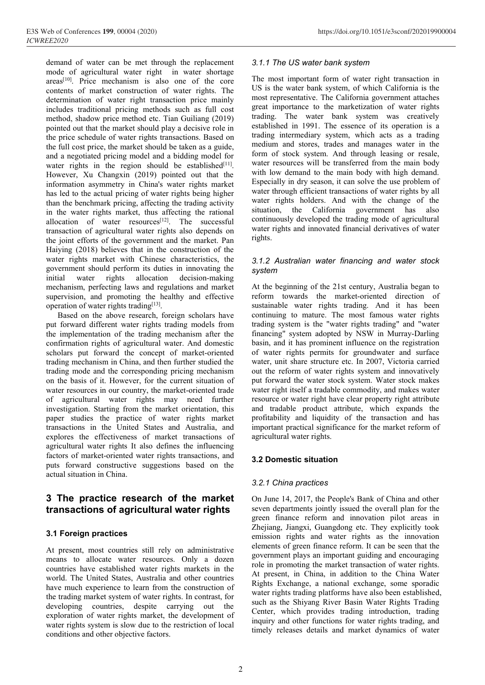Veb of Conferences 199, 00004 (2020)<br>
EE2020<br>
demand of water can be met through the replacement 3.1.1 The US wate<br>
mode of agricultural water right in water shortage<br>
areas<sup>[10]</sup>. Price mechanism is also one of the core T Veb of Conferences 199, 00004 (2020)<br>
EE2020<br>
demand of water can be met through the replacement<br>
mode of agricultural water right in water shortage<br>
areas<sup>[10]</sup>. Price mechanism is also one of the core<br>
contents of marke Veb of Conferences 199, 00004 (2020)<br>
EE2020<br>
demand of water can be met through the replacement<br>
areas<sup>[10]</sup>. Price mechanism is also one of the core<br>
contents of market construction of water rights. The most important f EE2020<br>
EE2020<br>
EE2020<br>
demand of water can be met through the replacement<br>
mode of agricultural water right in water shortage<br>
areas<sup>[10]</sup>. Price mechanism is also one of the core<br>
contents of market construction of wate Veb of Conferences 199, 00004 (2020)<br>
EE2020<br>
demand of water can be met through the replacement<br>
mode of agricultural water right in water shortage<br>
areas<sup>[10]</sup>. Price mechanism is also one of the core<br>
contents of marke *Feb* of Conferences 199, 00004 (2020)<br> *EE2020*<br>
demand of water can be met through the replacement<br>
mode of agricultural water right in water shortage<br>
areas<sup>[10]</sup>. Price mechanism is also one of the core<br>
contents of m *Feb* of Conferences 199, 00004 (2020) https://<br> *EE2020* https://<br> *EE2020* demand of water can be met through the replacement mode of agricultural water right in water shortage<br>
areas<sup>[10]</sup>. Price mechanism is also one *Feb* of Conferences 199, 00004 (2020)<br> *https://doi.o*<br> *https://doi.o*<br> *demand* of water can be met through the replacement<br>  $3.1.1$  The US water bank sym<br>
mode of agricultural water right in water shortage<br>
areas<sup>[10]</sup> The price of Conferences 199, 00004 (2020)<br> *thps://doi.c*<br>
demand of water can be met through the replacement<br>
mode of agricultural water rights in water shortage<br>
areas<sup>[10]</sup>. Price mechanism is also one of the core<br>
co (b)  $\frac{E2020}{20}$  (b)  $\frac{E22020}{20}$  (h)  $\frac{E22020}{20}$  (h)  $\frac{E22020}{20}$  (h)  $\frac{E22020}{20}$  (h)  $\frac{E22020}{20}$  (h)  $\frac{E22020}{20}$  (h)  $\frac{E22020}{20}$  (h)  $\frac{E22020}{20}$  (h)  $\frac{E22020}{20}$  (h)  $\frac{E22020}{20}$  (EE2020<br>
EE2020<br>
demand of water can be met through the replacement<br>
3.1.1 The US water bank sy<br>
mode of agricultural water right in water shortage<br>
areas<sup>[10]</sup>. Price mechanism is also one of the core<br>
the most important demand of water can be met through the replacement 3.1.1 The US water bank s,<br>mode of agricultural water right in water shortage<br>creas<sup>[10]</sup>. Price mechanism is also one of the core The most important form of<br>creases<sup>[10]</sup> demination of water can be met information and water for the mode of agricultural water right in water shortage<br>areas<sup>[10]</sup>. Price mechanism is also one of the core<br>contents of market construction of water rights. The US i mode or apricultural water ignt in water shortage or apricultural water is also one of the core<br>contents of market construction of water rights. The US is the water bank system contents of market construction of water rig areas<sup>1676</sup>. Price mechanism is also one of the core the contents of market construction of water rights. The includes traditional pricing methods such as full cost determination of water right transaction price mainly th contents of market construction of water rights. In the determination of water rights market construction price mainly in the includes traditional pricing method etc. Tian Guiliang (2019) trading. The water beyonded out t determination of water right transaction price mainly<br>
includes traditional pricing methods such as full cost<br>
method, shadow price method etc. Tian Guilliang (2019) trading. The water<br>
pointed out that the market should p Includes translation pricing memotos such as lull cost as the memotod, shadow price method etc. Tian Guilang (2019) trading. The water bank pointed out that the market should play a decisive role in established in 1991. Th method, shadow price melond etc. This cullimary (2019)<br>
in the priorical out that the market should play a decisive role in<br>
the price schedule of water rights transactions. Based on<br>
trading intermediary system<br>
the full pointed out that the market should play a decisive role in<br>
the price schedule of water rights transactions. Based on trading intermediary system,<br>
the full cost price, the market should be taken as a guide, medium and sto the full cost price scheme of water rights transactions. Based on<br>an equity and stores, trades and a negotiated pricing model and a bidding model for the market should be established<sup>[11]</sup>, water resources will be trans<br>Ho the rull cost price, the market should be taken as a guide,<br>
and a negotiated price form of stock system. And<br>
awater rights in the region should be established<sup>[111</sup>], water resources will be trans<br>
However, Xu Changxin and a negotiated pricing model and a bidding model in the region should be established in the region should be established information asymmetry in China's water rights market with low demand information asymmetry in Chin water rignts in the region should be established<sup>433</sup>.<sup>1</sup> with low demand to the However, Xu Changxin (2019) pointed out that the with low demand to the information asymmetry in China's water rights market through efficie However, Au Changxin (2019) pointed out that the<br>
information asymmetry in China's water rights market<br>
has led to the actual pricing of water rights being higher<br>
than the benchmark pricing, affecting the trading activit mormanton asymmetry in chans water rights market Lopetomary in the shellon the benchmark pricing, affecting the trading activity water rights holders. And in the water rights market, thus affecting the rational situation, man the ventemark prices are the trading in the water rights market, thus affecting the rational situation, the California allocation of water rights allocation of agricultural water rights also depends on water rights an In the water rights market, thus aftercuing the rational<br>allocation of agricultural water rights also depends on water rights and innovated fit<br>transaction of agricultural water rights also depends on water rights and inn anocation of a water resources of the successities and water rights and innovative in the joint efforts of the government and the market. Pan rights. Haiying (2018) believes that in the construction of the water rights all

transaction or agricultural water rights also depends on<br>
Haiying (2018) believes that in the construction of the<br>
Haiying (2018) believes that in the construction of the<br>
water rights market with Chinese characteristics, the joint errorts of the government and the market. Pan<br>
Having (2018) believes that in the construction of the<br>
Having rights market with Chinese characteristics, the<br>
system<br>
water rights allocation decision-making<br>
mech Extraiged (2018) believes that in the construction of the<br>system water rights move and the Chinese characteristics, the<br>government should perform its duties in innovating the<br>initial water rights allocation decision-makin water rignts market with chimses characteristics, the<br>
government should perform its duite in innovating the<br>
initial water rights allocation decision-making<br>
mechanism, perfecting laws and regulations and market<br>
At the b government shoute perform its dutes in innovating the system<br>mechanism, perfecting laws and regulations and market<br>mechanism, perfecting laws and regulations and market<br>supervision, and promoting the healthy and effective<br> mulai water rights allocation decision-making<br>
mechanism, perfecting laws and regulations and market<br>
supervision, and promoting the healthy and effective<br>
peration of water rights trading<sup>[13]</sup>.<br>
Based on the above resear mechanism, perrecting taws and regulations and market<br>
supervision, and promoting the ealthy and effective<br>
operation of water rights trading<sup>[13]</sup>. sustainable water rights trading<br>
operation of water rights trading mecha supervision, and promoting the neariny and effective<br>operation of water rights trading  $\mu$  assessed on the above research, foreign scholars have<br>operation of the trading models from trading system is the "with<br>the impleme operature of water rights transactions of water ignores and the above research, foreign scholars have continuing to mature. The But forward different water rights trading models from trading system adopted b confirmation r Based on the above research, foreign scholars have<br>plut forward different water rights trading models from training in market in<br>the implementation of the trading mechanism after the financing" system adopted by<br>confirmati put forward different water rights trading modes from<br>the implementation of the trading mechanism after the imancing" system as<br>confirmation rights of agricultural water. And domestic<br>basin, and it has prove<br>scholars put f Intermetion of the transaction of the transaction and the matter the intermetion confirmation rights of agricultural water. And domestic basin, and it has prominent is scholars put forward the concept of market-oriented of continuation rights or agricultural water. And domestic<br>scholars put forward the concept of market-oriented<br>of water rights permits for<br>trading mechanism in China, and then further studied the water, unit share structure e scholars put forward the concept of market-oriented trading mechanism in China, and then further studied the trading mode and the corresponding pricing mechanism on the basis of it. However, for the current situation o wat trading mechanism in China, and then further studied the<br>
trading mode and the orresponding pricing mechanism<br>
out the reform of water right<br>
or the basis of it. However, for the current situation of<br>
water right tiself a trading mode and the corresponding pricing mechanism<br>
out the retorn of the basis of it. However, for the current situation of<br>
water resources in our country, the market oriented trade<br>
water right itself a tradable coc<br> paper studies the practice of water rights it transactions in the United States and Australia<br>explores the effectiveness of market transactic<br>agricultural water rights It also defines the influ-<br>factors of market-oriented The practicular music of market and Australia and the market applicant and the distinguistive and applications of market-oriented water rights transactions, and puts forward constructive suggestions based on the actual sit

Explores the executions of market transactions of market entergies.<br>
agricultural water rights transactions, and<br>
actual situation in China.<br> **3.2 Domestic situation**<br>
actual situation in China.<br> **3.2 Domestic situation**<br> Example the market rights and water rights transactions and puts forward constructive suggestions based on the<br>
actual situation in China.<br> **3.2.1 China practices**<br> **3.2.1 China practices**<br> **3.2.1 China practices**<br> **3.2.1** The practice versions of the market<br>
actual situation in China.<br>
actual situation in China.<br>
actual situation in China.<br> **3.2.1 China practices**<br> **3.3.1 Foreign practice research of the market**<br> **4.1 Foreign practices**<br> **3** based on the actual situation in China.<br>
actual situation in China.<br> **3.2.1 China practices**<br> **3.2.1 China practices**<br> **4.1 Foreign practices**<br> **4.1 Foreign practices**<br> **4.1 Foreign practices**<br> **4.1 Foreign practices**<br> **4.** 3.1 **China practices**<br>
3.1 **The practice research of the market**<br>
3.1 **Foreign practices**<br>
3.1 **Foreign practices**<br>
3.1 **Foreign practices**<br>
4.1 **Example 14.2017**, the People<br>
3.1 **Foreign practices**<br>
4.1 **Example 14.2017 3 The practice research of the market** on June 14, 2017, the People<br> **transactions of agricultural water rights** seven departments jointly is<br>
green finance reform and<br> **3.1 Foreign practices**<br>
At present, most countries **3 The practice research of the market** On June 14, 2017, the People's<br> **transactions of agricultural water rights** seven departments jointly issue<br>
green finance reform and in<br> **3.1 Foreign practices**<br>
At present, most co **Examplementations of agricultural water rights** seven departments jointly is green finance reform and the restriction of the restriction of the restriction of the restriction of the United States, Australia and other coun **EXECUTE OF A SET EXECUTE CONCIDENT STATES OF A SET EXECUTE AND SET EXECUTE AND THE SET ARE SET AND A SET AND THE UNITED SET AND THE WORLD THE UNITED SHOW THAT AND WORK THE WORLD THE VIRTING THE VIRTING THE VIRTING THE VIR** 

https://doi.org/10.1051/e3sconf/202019900004<br> **3.1.1 The US water bank system**<br> **The most important form of water right transaction in**<br> **US is the water bank system, of which California is the most representative. The Cal** https://doi.org/10.1051/e3sconf/202019900004<br>
3.1.1 The US water bank system<br>
The most important form of water right transaction in<br>
US is the water bank system, of which California is the<br>
most representative. The Califor https://doi.org/10.1051/e3sconf/202019900004<br>
3.1.1 The US water bank system<br>
The most important form of water right transaction in<br>
US is the water bank system, of which California is the<br>
most representative. The Califor https://doi.org/10.1051/e3sconf/202019900004<br>
3.1.1 The US water bank system<br>
The most important form of water right transaction in<br>
US is the water bank system, of which California is the<br>
most representative. The Califor https://doi.org/10.1051/e3sconf/202019900004<br>3.1.1 The US water bank system<br>The most important form of water right transaction in<br>US is the water bank system, of which California is the<br>most representative. The California https://doi.org/10.1051/e3sconf/202019900004<br>3.1.1 The US water bank system<br>The most important form of water right transaction in<br>US is the water bank system, of which California is the<br>most representative. The California https://doi.org/10.1051/e3sconf/202019900004<br>
3.1.1 The US water bank system<br>
The most important form of water right transaction in<br>
US is the water bank system, of which California is the<br>
most representative. The Califor https://doi.org/10.1051/e3sconf/202019900004<br>
3.1.1 The US water bank system<br>
The most important form of water right transaction in<br>
US is the water bank system, of which California is the<br>
most representative. The Califor https://doi.org/10.1051/e3sconf/202019900004<br> **3.1.1 The US water bank system**<br>
The most important form of water right transaction in<br>
US is the water bank system, of which California is the<br>
most representative. The Calif form of stock system. The main body with series through the most input<br>through the most important form of water right transaction in<br>US is the water bank system, of which California is the<br>most representative. The Californ 3.1.1 The US water bank system<br>The most important form of water right transaction in<br>US is the water bank system, of which California is the<br>most representative. The California government attaches<br>great importance to the m 3.1.1 The US water bank system<br>The most important form of water right transaction in<br>US is the water bank system, of which California is the<br>most representative. The California government attaches<br>great importance to the m 3.1.1 The US water bank system<br>The most important form of water right transaction in<br>US is the water bank system, of which California is the<br>most representative. The California government attaches<br>great importance to the m The most important form of water right transaction in<br>US is the water bank system, of which California is the<br>most representative. The California government attaches<br>great importance to the marketization of water rights<br>tr The most important form of water right transaction in<br>
US is the water bank system, of which California is the<br>
most representative. The California government attaches<br>
great importance to the marketization of water rights US is the water bank system, or which California is the<br>most representative. The California government attaches<br>great importance to the marketization of water rights<br>trading. The water bank system was creatively<br>establishe most representative. The California government attaches<br>great importance to the marketization of water rights<br>trading. The water bank system was creatively<br>established in 1991. The essence of its operation is a<br>trading int great importance to the marketization of water rights<br>trading. The water bank system was creatively<br>established in 1991. The essence of its operation is a<br>trading intermediary system, which acts as a trading<br>medium and sto rights. medium and stores, trades and manages water in the<br>form of stock system. And through leasing or resale,<br>water resources will be transferred from the main body<br>with low demand to the main body with high demand.<br>Especially i with low demand to the main body with high demand course with low demand to the main body with high demand.<br>Especially in dry season, it can solve the use problem of water rights holders. And with the change of the situati ward working the market-oriented the market-oriented the market financial with the change of the situation, the California government has also continuously developed the trading mode of agricultural water rights and innova

## *system*

Especially in any sussion, it can solve the state problem of the expectations of water rights by all water rights holders. And with the change of the situation, the California government has also continuously developed the water rights holders. And with the change of the<br>situation, the California government has also<br>continuously developed the trading mode of agricultural<br>water rights and innovated financial derivatives of water<br>rights.<br>3.1.2 water rights industrian. That we must be california and the discontinuously developed the trading mode of agricultural water rights and innovated financial derivatives of water rights.<br>
3.1.2 Australian water financing and Solution, the California Continuously developed the trading mode of agricultural<br>water rights and innovated financial derivatives of water<br>rights.<br>3.1.2 Australian water financing and water stock<br>system<br>At the beginning of examples water rights and innovated financial derivatives of water<br>rights.<br>
3.1.2 Australian water financing and water stock<br>
system<br>
At the beginning of the 21st century, Australia began to<br>
reform towards the market-orie mater rights and infovated minimal derivatives of water<br>rights.<br>3.1.2 Australian water financing and water stock<br>system<br>At the beginning of the 21st century, Australia began to<br>reform towards the market-oriented direction 3.1.2 Australian water financing and water stock<br>system<br>At the beginning of the 21st century, Australia began to<br>reform towards the market-oriented direction of<br>sustainable water rights trading. And it has been<br>continuing 3.1.2 Australian water financing and water stock<br>system<br>At the beginning of the 21st century, Australia began to<br>reform towards the market-oriented direction of<br>sustainable water rights trading. And it has been<br>continuing 3.1.2 Australian water financing and water stock<br>system<br>At the beginning of the 21st century, Australia began to<br>reform towards the market-oriented direction of<br>sustainable water rights trading. And it has been<br>continuing system<br>At the beginning of the 21st century, Australia began to<br>reform towards the market-oriented direction of<br>sustainable water rights trading. And it has been<br>continuing to mature. The most famous water rights<br>trading s At the beginning of the 21st century, Australia began to<br>reform towards the market-oriented direction of<br>sustainable water rights trading. And it has been<br>continuing to mature. The most famous water rights<br>trading system i At the beginning of the 21st century, Australia began to<br>reform towards the market-oriented direction of<br>sustainable water rights trading. And it has been<br>continuing to mature. The most famous water rights<br>trading system i reform towards the market-onented direction of<br>sustainable water rights trading. And it has been<br>continuing to mature. The most famous water rights<br>trading system is the "water rights trading" and "water<br>financing" system sustainable water rights trading. And it has been<br>continuing to mature. The most famous water rights<br>trading system is the "water rights trading" and "water<br>financing" system adopted by NSW in Murray-Darling<br>basin, and it continuing to mature. The most famous water right<br>trading system is the "water rights trading" and "wate<br>financing" system adopted by NSW in Murray-Darling<br>basin, and it has prominent influence on the registration<br>of water bashi, and it has profilment immetice on the registration<br>of water rights permits for groundwater and surfa<br>water, unit share structure etc. In 2007, Victoria carri<br>out the reform of water rights system and imnovative<br>put **3.2.1 China practices**<br> **3.2.1 China practice example is a set of the control water rights system and innov<br>
put forward the water stock system. Water stock<br>
water right itself a tradable commodity, and make<br>
resource or** put forward the water stock system. Water stock makes<br>water right itself a tradable commodity, and makes water<br>resource or water right have clear property right attribute<br>and tradable product attribute, which expands the<br>p water right itself a tradable commodity, and makes water<br>resource or water right have clear property right attribute<br>and tradable product attribute, which expands the<br>profitability and liquidity of the transaction and has<br>

resource or water right have clear property right attribute<br>and tradable product attribute, which expands the<br>profitability and liquidity of the transaction and has<br>important practical significance for the market reform of and tradable product attribute, which expands the<br>profitability and liquidity of the transaction and has<br>important practical significance for the market reform of<br>agricultural water rights.<br>3.2 **Domestic situation**<br>3.2.1 C profitability and liquidity of the transaction and has<br>important practical significance for the market reform of<br>agricultural water rights.<br>3.2.1 China practices<br>On June 14, 2017, the People's Bank of China and other<br>seven important practical significance for the market reform of<br>agricultural water rights.<br>3.2.1 China practices<br>On June 14, 2017, the People's Bank of China and other<br>seven departments jointly issued the overall plan for the<br>gr agricultural water rights.<br>
3.2.1 China practices<br>
On June 14, 2017, the People's Bank of China and other<br>
seven departments jointly issued the overall plan for the<br>
green finance reform and innovation pilot areas in<br>
Zhej **3.2 Domestic situation**<br> **3.2.1 China practices**<br>
On June 14, 2017, the People's Bank of China and other<br>
seven departments jointly issued the overall plan for the<br>
green finance reform and innovation pilot areas in<br>
Zhej **3.2 Domestic situation**<br> **3.2.1 China practices**<br>
On June 14, 2017, the People's Bank of China and other<br>
seven departments jointly issued the overall plan for the<br>
green finance reform and innovation pilot areas in<br>
Zhej 3.2.1 China practices<br>
On June 14, 2017, the People's Bank of China and other<br>
seven departments jointly issued the overall plan for the<br>
green finance reform and innovation pilot areas in<br>
Zhejiang, Jiangxi, Guangdong et 3.2.1 China practices<br>
On June 14, 2017, the People's Bank of China and other<br>
seven departments jointly issued the overall plan for the<br>
green finance reform and innovation pilot areas in<br>
Zhejiang, Jiangxi, Guangdong etc 3.2.1 China practices<br>
On June 14, 2017, the People's Bank of China and other<br>
seven departments jointly issued the overall plan for the<br>
green finance reform and innovation pilot areas in<br>
Zhejiang, Jiangxi, Guangdong etc On June 14, 2017, the People's Bank of China and other<br>seven departments jointly issued the overall plan for the<br>green finance reform and innovation pilot areas in<br>Zhejiang, Jiangxi, Guangdong etc. They explicitly took<br>emi On June 14, 2017, the People's Bank of China and other<br>seven departments jointly issued the overall plan for the<br>green finance reform and innovation pilot areas in<br>Zhejiang, Jiangxi, Guangdong etc. They explicitly took<br>emi seven departments jointly issued the overall plan for the<br>green finance reform and innovation pilot areas in<br>Zhejiang, Jiangxi, Guangdong etc. They explicitly took<br>elments of green finance reform. It can be seen that the<br>g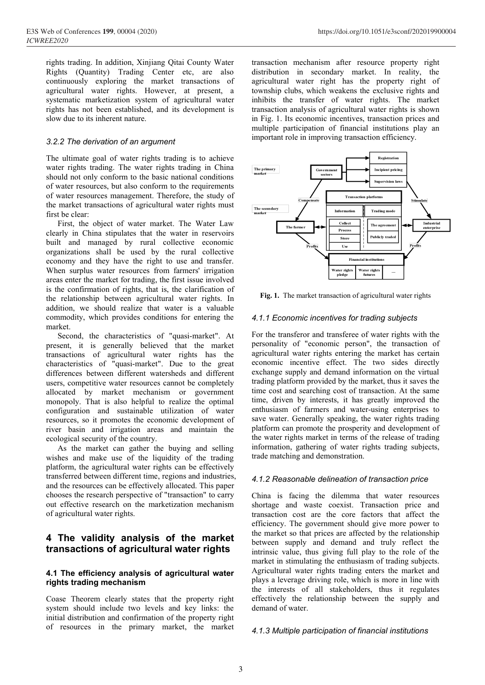FE2020<br>
FE2020<br>
FE2020<br>
Fights trading. In addition, Xinjiang Qitai County Water<br>
Rights (Quantity) Trading Center etc, are also<br>
continuously exploring the market transactions of agricultural water right<br>
agricultural wat Veb of Conferences 199, 00004 (2020)<br>
EE2020<br>
Trights trading. In addition, Xinjiang Qitai County Water transaction mechanism after<br>
Rights (Quantity) Trading Center etc, are also<br>
continuously exploring the market transac (b) Teles of Conferences 199, 00004 (2020)<br>
EE2020<br>
rights trading. In addition, Xinjiang Qitai County Water<br>
ransaction mechanism after<br>
Rights (Quantity) Trading Center etc, are also<br>
continuously exploring the market tr veb of Conferences 199, 00004 (2020)<br>
EE2020<br>
rights trading. In addition, Xinjiang Qitai County Water<br>
rights (Quantity) Trading Center etc, are also<br>
continuously exploring the market transactions of agricultural water r vel of Conferences 199, 00004 (2020)<br>
EE2020<br>
rights trading. In addition, Xinjiang Qitai County Water<br>
ransaction mechanism at<br>
Rights (Quantity) Trading Center etc, are also<br>
distribution in secondary<br>
continuously explo rights trading. In addition, Xinjiang Qitai County Water transaction mechanism after<br>
Rights (Quantity) Trading Center etc, are also distribution in secondary reportinuously exploring the market transactions of agricultura Veb of Conferences 199, 00004 (2020)<br>
EE2020<br>
rights trading. In addition, Xinjiang Qitai County Water<br>
Rights (Quantity) Trading Center etc, are also<br>
continuously exploring the market transactions of<br>
agricultural water *3.2.2 The derivation of an argument*<br> *3.2.2 The derivation of an argument* continuously explored and a mate terms action of agricultural water rights. However, at present, a town argumential water rights. However, at pre EE2020<br>
Fights trading. In addition, Xinjiang Qitai County Water<br>
Rights (Quantity) Trading Center etc, are also distribution in second<br>
negricultural water rights are mass are also achieved transactions of<br>
agricultural Fights trading. In addition, Xinjiang Qitai County Water<br>
Rights (Quantity) Trading Center etc, are also distribution in secondar<br>
continuously exploring the market transactions of agricultural water right<br>
agricultural w rights trading. In addition, Xinjiang Qitai County Water<br>
Rights (Quantity) Trading Center etc, are also distribution in seco<br>
continuously exploring the market transactions of agricultural water rights<br>
systematic market

Figms utamy and the resources, but also conform to the requirements<br>of the market transactions of agricultural water<br>agricultural water rights. However, at present, a township clubs, wh<br>systematic marketization system of For the continuously exploring the market transactions of agricultural water right has agricultural water rights. However, at present, a township clubs, which weaker systematic marketization system of agricultural water i Examed the market transactions of agricultural water rights. However, at present, a township clubs, which we<br>agricultural water rights. However, at present, a township clubs, which we<br>also systematic marketization system depresention water rights. Thowever, and<br>systematic marketization system of agricul<br>rights has not been established, and its deve<br>slow due to its inherent nature.<br>3.2.2 The derivation of an argument<br>The ultimate goal of wa Figure and the total controller that the stipulates that the stipulates of an argument<br>
The ultimate goal of water rights trading is to achieve<br>
when rights trading is to achieve<br>
when rights that the water rights trading but and managed by the right is transitioned areas enter the managed of transition of an argument<br>
multiple participation improvement collective water rights trading. The water rights trading in China<br>
should not only conf

3.2.2 The derivation of an argument<br>
The ultimate goal of water rights trading is to achieve<br>
water rights trading. The water rights trading in China<br>
should not only conform to the basic national conditions<br>
of water res 3.2.2 The derivation of an argument<br>
The ultimate goal of water rights trading is to achieve<br>
water rights trading. The water rights trading in China<br>
should not only conform to the basic national conditions<br>
of water res The ultimate goal of water rights trading is to achieve<br>
water rights trading. The water rights trading in China<br>
should not only conform to the basic national conditions<br>
of water resources, but also conform to the requir The unimate goal of water rights trading is to achieve the market rights trading in China<br>
who should not only conform to the basic national conditions<br>
of water resources, but also conform to the requirements<br>
of water re Water rights trading. The water rights trading in China The printements<br>
of water resources, but also conform to the requirements<br>
of water resources management. Therefore, the study of<br>
the market transactions of agricult Should not only control the basic national conductions<br>of water resources, but also conform to the requirements<br>of water resources management. Therefore, the study of<br>the market transactions of agricultural water rights m and the matrix contracts management. Therefore, the study of<br>the market transactions of agricultural water rights must<br>that material matrix first be clear:<br>First, the object of water market. The Water Law<br>clearly in China Collective Trial is generally believed that the market transactions of agricultural water rights must<br>first be clear:<br>First, the object of water market. The Water Law<br>clearly in China stipulates that the water in reservoir market. First, the object of water market. The Water Law<br>
First, the Vient Explorer and managed by rural collective economic<br>
anizations shall be used by the rural collective<br>
anizations shall be used by the rural collective<br>
seco First, the object of water market. The water Law<br>
built and managed by rural collective economic<br>
built and managed by rural collective economic<br>
organizations shall be used by the rural collective<br>
economy and they have t Constraint and managed by rural collective conomic<br>organizations shall be used by the rural collective<br>economy and they have the right to use and transfer.<br>When surplus water resources from farmers' irrigation<br>areas enter bunt and managed by rural conecuve economic<br>
organizations shall be used by the rural collective<br>
economy and they have the right to use and transfer.<br>
When surplus water resources from farmers' irrigation<br>
areas enter the

organizations shall be used by the tural collective<br>
economy and they have the right to use and transfer.<br>
When surplus water resources from farmers' irrigation<br>
areas enter the market for trading, the first issue involved economy and they have the right to use and transier.<br>
When surplus water resources from farmers' irrigation<br>
areas enter the market for trading, the first issue involved<br>
is the confirmation of rights, that is, the clarifi when surplus water resources from larmers irrigation<br>
areas enter the market for trading, the first issue involved<br>
is the confirmation of rights, that is, the clarification of<br>
the relationship between agricultural water The matrix of realistics of the confirmation of is the confirmed in econfirmation of the relationship between agricultural water rights. In Section of the relationship between agricultural water rights. In Section and the is the continuation of rigns, that is, the carticular water rights. In<br>
the relationship between agricultural water rights. In<br>
and dition, we should realize that water is a valuable<br>
commodity, which provides conditions f increases the training the training water in the training the and<br>
commodity, which provides conditions for entering the<br>
commodity, which provides conditions for entering the<br>
market.<br>
Second, the characteristics of "quas and it is a valuable<br>
commodity, which provides conditions for entering the<br>
market.<br>
Second, the characteristics of "quasi-market". At<br>
For the transferor and transfer<br>
present, it is generally believed that the market<br>
p commouny, which provides conditions for entering the<br>market.<br>Second, the characteristics of "quasi-market". At<br>present, it is generally believed that the market p<br>transactions of agricultural water rights has the<br>differenc Exect.<br>
Second, the characteristics of "quasi-market". At For the transferor and trate<br>
seates, it is generally believed that the market personality of "economic<br>
seates, computitive water resources can gather and the sel second, the characteristics of "quasi-market". At  $\tau$  of the diamstrom and the makerine, it is generally believed that the market transactions of agricultural water rights has the agricultural water rights characteristic present, it is generally beneved that the market<br>
transactions of agricultural water rights has the agricultural vater right<br>
characteristics of "quasi-market". Due to the great<br>
differences between different watersheds an Transferred between different musical water inguis and the enterceivistics of "quasi-market". Due to the great economic incentive differences between different watersheds and different exchange supply and dues are differe characteristics of "quasi-marker". Due to the great<br>
differences between different wareheads and different welcome. The conduction<br>
density users, competitive water resources cannot be completely<br>
allocated by market mecha

differences between different warshedes and different coating supply and changes, compitative water resources cannot be completely transig partform provided by market mechanism or government time cost and searching cosmolo susers, competitive water resources cannot be completely<br>
allocated by market mechanism or government<br>
mecost and searching cost of<br>
monopoly. That is also helpful to realize the optimal<br>
time cost and searching cost of<br>
r allocated by market mechanism or government<br>monopoly. That is also helpful to realize the optimal<br>configuration and sustainable utilization of water<br>resources, so it promotes the economic development of<br>river basin and irr monopoly. That is also helpful to realize the optimal<br>
configuration and sustainable utilization of water. Generally speaking<br>
configuration and sustainable utilization of water enthusism of farmers and<br>
resources, so it p configuration and sustainable utilization of water<br>
rentussians of armores and<br>
review basin condice development of<br>
rever basin and irrigation areas and maintain the<br>
water. Generally speaking<br>
river basin and irrigation wishes and make use of the liquidity of the trading<br>
platform, the agricultural water rights can be effectively<br>
transferred between different time, regions and industries,<br>
and the resources can be effectively allocated. platform, the agricultural water rights can be effectively<br>transferred between different time, regions and industries,<br>and the resources can be effectively allocated. This paper<br>of agricultural conserve of "transaction" to

https://doi.org/10.1051/e3sconf/202019900004<br>transaction mechanism after resource property right<br>distribution in secondary market. In reality, the<br>agricultural water right has the property right of<br>township clubs, which we https://doi.org/10.1051/e3sconf/202019900004<br>transaction mechanism after resource property right<br>distribution in secondary market. In reality, the<br>agricultural water right has the property right of<br>township clubs, which we https://doi.org/10.1051/e3sconf/202019900004<br>
transaction mechanism after resource property right<br>
distribution in secondary market. In reality, the<br>
agricultural water right has the property right of<br>
township clubs, whic https://doi.org/10.1051/e3sconf/202019900004<br>transaction mechanism after resource property right<br>distribution in secondary market. In reality, the<br>agricultural water right has the property right of<br>township clubs, which we https://doi.org/10.1051/e3sconf/202019900004<br>transaction mechanism after resource property right<br>distribution in secondary market. In reality, the<br>agricultural water right has the property right of<br>township clubs, which we https://doi.org/10.1051/e3sconf/202019900004<br>transaction mechanism after resource property right<br>distribution in secondary market. In reality, the<br>agricultural water right has the property right of<br>township clubs, which we https://doi.org/10.1051/e3sconf/202019900004<br>transaction mechanism after resource property right<br>distribution in secondary market. In reality, the<br>agricultural water right has the property right of<br>township clubs, which we https://doi.org/10.1051/e3sconf/202019900004<br>transaction mechanism after resource property right<br>distribution in secondary market. In reality, the<br>agricultural water right has the property right of<br>township clubs, which we https://doi.org/10.1051/e3sconf/202019900004<br>
transaction mechanism after resource property right<br>
distribution in secondary market. In reality, the<br>
agricultural water right has the property right of<br>
township clubs, whic



From the state of the market transaction of agricultural water rights with the personality of the market transaction of agricultural water rights  $4.1.1$  Economic incentives for trading subjects For the transferor and tra From Eq. 1. The market transaction of agricultural water rights<br>
Financial institutions<br>
Fig. 1. The market transaction of agricultural water rights<br>
4.1.1 Economic incentives for trading subjects<br>
For the transferor and exchange supply and demand information on the virtual Fig. 1. The market transaction of agricultural water rights<br>
Fig. 1. The market transaction of agricultural water rights<br>
4.1.1 Economic incentives for trading subjects<br>
For the transferor and transferee of water rights w Fig. 1. The market transaction of agricultural water rights<br>
4.1.1 Economic incentives for trading subjects<br>
For the transferor and transferee of water rights with the<br>
personality of "economic person", the transaction of Fig. 1. The market transaction of agricultural water rights<br>4.1.1 Economic incentives for trading subjects<br>For the transferor and transferee of water rights with the<br>personality of "economic person", the transaction of<br>agr Fig. 1. The market transaction of agricultural water rights<br>4.1.1 Economic incentives for trading subjects<br>For the transferor and transferee of water rights with the<br>personality of "economic person", the transaction of<br>agr **4.1.1 Economic incentives for trading subjects**<br>For the transferor and transferee of water rights with the<br>personality of "economic person", the transaction of<br>agricultural water rights entering the market has certain<br>ec 4.1.1 Economic incentives for trading subjects<br>For the transferor and transferee of water rights with the<br>personality of "economic person", the transaction of<br>agricultural water rights entering the market has certain<br>econo 4.1.1 Economic incentives for trading subjects<br>For the transferor and transferee of water rights with the<br>personality of "economic person", the transaction of<br>agricultural water rights entering the market has certain<br>econ For the transferor and transferee of water rights with the personality of "economic person", the transaction of agricultural water rights entering the market has certain economic incentive effect. The two sides directly ex For the transferor and transferee of water rights with the<br>personality of "economic person", the transaction of<br>agricultural water rights entering the market has certain<br>economic incentive effect. The two sides directly<br>ex economic incentive effect. The two sides directly<br>exchange supply and demand information on the virtual<br>trading platform provided by the market, thus it saves the<br>time cost and searching cost of transaction. At the same<br>en Exeming supply and woman information on an evident<br>trading platform provided by the market, thus it saves the<br>time, driven by interests, it has greatly improved the<br>enthusiasm of farmers and water-using enterprises to<br>save shortage and waster coexist. Transaction prioring observations of the same<br>time cost and searching cost of transaction. At the same<br>time, driven by interests, it has greatly improved the<br>enthusiasm of farmers and water-usi time, driven by interests, it has greatly improved the<br>enthusiasm of farmers and water-using enterprises to<br>save water. Generally speaking, the water rights trading<br>platform can promote the prosperity and development of<br>th

The tend of the property interest of and music the property interest of the product and the research perspective of "transaction" to carry<br>
and the research perspective of "transaction" to carry<br>
of agricultural water righ Solution and the inclusion of the prince the example of the marketization mechanism<br>
of agricultural water rights.<br> **4 The validity analysis of the market** showed the shortage and waste coexis<br>
of agricultural water rights Fraction expective of distribution mechanism<br>
out effective research perspective of distribution mechanism shortage and waste coexer-<br>
of agricultural water rights<br> **4. The validity analysis of the market** the market so th of agricultural water rights<br> **4.1 The validity analysis of the market** the market external technical water rights<br> **4.1 The efficiency analysis of the market** the market so that prices<br> **4.1 The efficiency analysis of agr** enthusiasm of farmers and water-using enterprises to<br>enthusiasm of farmers and water-using enterprises to<br>save water. Generally speaking, the water rights trading<br>platform can promote the prosperity and development of<br>the Examples and water-some predictional weaker of an example the matter in terms of the vater rights trading platform can promote the prosperity and development of the water rights market in terms of the release of trading in sure water. Conclusing the mathem can promote the prosperity and development of the water rights market in terms of the release of trading information, gathering of water rights trading subjects, trade matching and demonst phation can potonous the prospering and according the water rights market in terms of the release of trading subjects, trade matching and demonstration.<br>
4.1.2 Reasonable delineation of transaction price<br>
China is facing t in water in the matter in entired the entired the stimulation of transaction price<br>information, gathering of water rights trading subjects,<br>trade matching and demonstration.<br>4.1.2 Reasonable delineation of transaction pric morniation, gaint-ing of water rights trading stocyces,<br>trade matching and demonstration.<br>4.1.2 Reasonable delineation of transaction price<br>China is facing the dilemma that water resources<br>shortage and waste coexist. Trans 4.1.2 Reasonable delineation of transaction price<br>
China is facing the dilemma that water resources<br>
shortage and waste coexist. Transaction price and<br>
transaction cost are the core factors that affect the<br>
efficiency. The **4.1.2 Reasonable delineation of transaction price**<br>China is facing the dilemma that water resources<br>shortage and waste coexist. Transaction price and<br>transaction cost are the core factors that affect the<br>efficiency. The 4.1.2 Reasonable delineation of transaction price<br>China is facing the dilemma that water resources<br>shortage and waste coexist. Transaction price and<br>transaction cost are the core factors that affect the<br>efficiency. The go China is facing the dilemma that water reshortage and waste coexist. Transaction pri<br>transaction cost are the core factors that afferenciency. The government should give more p<br>the market so that prices are affected by the transaction cost are the core factors that affect the efficiency. The government should give more power to the market so that prices are affected by the relationship between supply and demand and truly reflect the intrinsi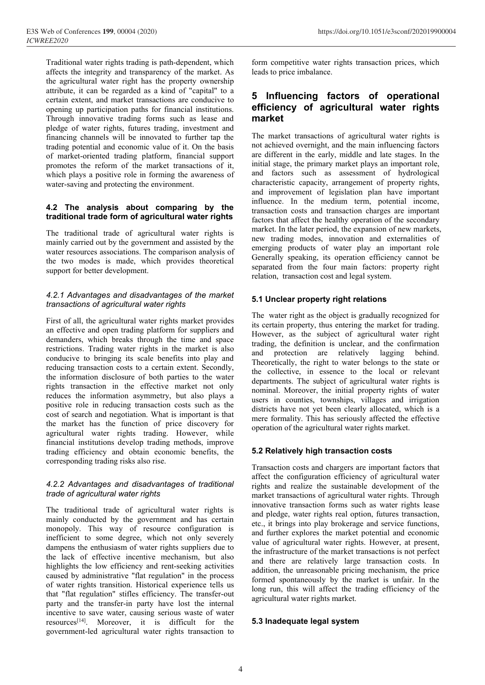Traditional water rights trading is path-dependent, which<br>
Traditional water rights trading is path-dependent, which form competitive water right<br>
affects the integrity and transparency of the market. As<br>
the agricultural Veb of Conferences 199, 00004 (2020)<br>
EE2020<br>
Traditional water rights trading is path-dependent, which form competitive water right<br>
affects the integrity and transparency of the market. As leads to price imbalance.<br>
the EE2020<br>
Traditional water rights trading is path-dependent, which form competitive wate<br>
affects the integrity and transparency of the market. As<br>
the agricultural water right has the property ownership<br>
attribute, it can Veb of Conferences 199, 00004 (2020)<br>
EE2020<br>
Traditional water rights trading is path-dependent, which form competitive water rights<br>
affects the integrity and transparency of the market. As leads to price imbalance.<br>
th EE Veb of Conferences 199, 00004 (2020)<br>
EE 2020<br>
Traditional water rights trading is path-dependent, which form competitive water rights<br>
affects the integrity and transparency of the market. As<br>
the agricultural water r Veb of Conferences 199, 00004 (2020)<br> *EE2020*<br>
Traditional water rights trading is path-dependent, which form competitive wa<br>
affects the integrity and transparency of the market. As leads to price imbalar<br>
the agricultur Veb of Conferences 199, 00004 (2020)<br>
EE2020<br>
Traditional water rights trading is path-dependent, which form competitive water right<br>
affects the integrity and transparency of the market. As<br>
the agricultural water right (b) of Conferences 199, 00004 (2020) https://doi<br>
EE2020 https://doi<br>
EE2020 https://doi<br>
Traditional water rights trading is path-dependent, which form competitive water right<br>
affects the integrity and transparency of t Final Conferences 199, 00004 (2020) https://doi.<br>
Final Conferences 199, 00004 (2020) https://doi.<br>
Iraditional water rights trading is path-dependent, which form competitive water right<br>
affects the integrity and transpa The of Conferences 199, 00004 (2020) https://de/<br>
EE2020 https://de/<br>
Traditional water rights trading is path-dependent, which form competitive water right<br>
diffects the integrity and transparency of the market. As<br>
dent **EEXALUAT:**<br> **EEXALUAT:** Traditional water rights trading is path-dependent, which form competitive water affects the integrity and transparency of the market. As leads to price imbalance. the agricultural water right has Traditional water rights trading is path-dependent, which<br>
affects the integrity and transparency of the market. As<br>
the agricultural water right has the property ownership<br>
attribute, it can be regarded as a kind of "cap Traditional water rights trading is path-dependent, which<br>
affects the integrity and transparency of the market. As<br>
the agricultural water right has the property ownership<br>
attribute, it can be regarded as a kind of "cap Traditional water rights trading is path-dependent, which<br>affects the integrity and transparency of the market. As<br>deads to<br>dertrian extent, it can be regarded as a kind of "capital" to a<br>certain extent, and market transa Example, it can be regaured as a kind of captain extent, and market transactions are conducive to<br>opening up participation paths for financial institutions.<br>Through innovative trading forms such as lease and<br>trancing chann Extrain extert, and matter unsactions are conductive to<br>the tradition participation paths for financial institutions.<br>
Through innovative trading forms such as lease and<br>
financing channels will be innovated to further tap Finough innovative trading forms such as lease and<br>
Through innovative trading forms such as lease and<br>
financing channels will be innovated to further tap the<br>
trading potential and economic value of it. On the basis<br>
of

The market-oriented trading platform, financial support formation of market-oriented trading platform, financial support promotes the reform of the market transactions of invirity which plays a positive role in forming the water-saving and protecting the environment.<br> **4.2. The analysis about comparing by the**<br> **4.2. The analysis about comparing by the**<br> **4.2. The analysis about comparing by the**<br> **4.2. The traditional trade form of agricult 4.2 The analysis about comparing by the**<br> **and improcemulate form of agricultural water rights**<br> **1.2 The analysis about comparing by the**<br> **1.2 The transactional trade of agricultural water rights**<br> **1.2 The transactions 4.2 The analysis about comparing by the**<br> **traditional trade form of agricultural water rights**<br>
The traditional trade of agricultural water rights is market. In the later perio<br>
mainly carried out by the government and

**Example 12**<br> **Example 12**<br> **Example 12**<br> **Example 12**<br> **Example 12**<br> **Example 12**<br> **Example 12**<br> **Example 12**<br> **Example 12**<br> **Example 12**<br> **Example 12**<br> **Example 12**<br> **Example 12**<br> **Example 12**<br> **Example 12**<br> **Example 12** The traditional trace form of agricultural water rights<br>
The traditional trade of agricultural water rights is<br>
market. In the later period,<br>
mainly carried out by the government and assisted by the<br>
weater resources assoc The traditional trade of agricultural water rights is<br>
market. In the later period, the<br>
mainly carried out by the government and assisted by the<br>
the two modes is make, which provides theoretical<br>
denerally speaking, its mainly carried out by the government and assisted by the<br>water resources associations. The comparison analysis of<br>the two modes is made, which provides theoretical<br>separated from the four m<br>support for better development.<br> water resources associations. The comparison analysis of<br>the two modes is made, which provides theoretical<br>separated from the free reducing the separated from the free reducing the separated from the free reducing transact the two modes is made, which provides theoretical<br>support for better development.<br>
4.2.1 Advantages and disadvantages of the market<br>
transactions of agricultural water rights<br>
First of all, the agricultural water rights<br>
F support for better development.<br> **Example 11** the examplement of the market<br> **Example 11** the examplement of the market<br> **Example 11** the examplement of any term in the effective and open trading platform for suppliers and relation, transaction cost and le<br> **4.2.1 Advantages and disadvantages of the market**<br> **5.1 Unclear property right r**<br> **Exerce the information asymmetric sum** effective and open trading platform for supplers and demanders, 4.2.1 Advantages and disadvantages of the market<br>
transactions of agricultural water rights<br>
The water right as the object<br>
First of all, the agricultural water rights<br>
The water right as the object<br>
its certain property, 4.2.1 Advantages and disadvantages of the market<br>
transactions of agricultural water rights<br>
The water right as the object<br>
First of all, the agricultural water rights<br>
and effective and open trading platform for supplier transactions of agricultural water rights<br>
First of all, the agricultural water rights market provides<br>
The water right as the object<br>
an effective and open trading platform for suppliers and<br>
However, as the subject of<br>
d First of all, the agricultural water rights market provides<br>
an effective and open trading platform for suppliers and<br>
demanders, which breaks through the time and space<br>
trading, the definition is test<br>
restrictions. Trad First of all, the agricultural water rights market provides<br>
all an effective and open trading platform for suppliers and<br>
demanders, which breaks through the time and space<br>
restrictions. Trading water rights in the marke an errective and open trading partition is supported demanders, which breaks through the time and space<br>
restrictions. Trading water rights in the market is also<br>
conducive to bringing its scale benefits into play and<br>
red demanders, which breaks unough the time and space<br>restrictions. Trading water rights in the market is also<br>conducive to bringing its scale benefits into play and<br>reducing transaction costs to a certain extent. Secondly,<br>th reducing transaction costs to a certain extent. Secondly,<br>the information disclosure of both parties to the water<br>rights transaction in the effective market not only reduces<br>the information asymmetry, but also plays a<br>posi the information disclosure of both parties to the water<br>
rights transaction in the effective market not only<br>
reduces the information asymmetry, but also plays a<br>
positive role in reducing transaction costs such as the<br>
co Fransaction in the enterval mean of the enterval mominal. Moreover, the initial<br>
reduces the information asymmetry, but also plays a<br>
positive role in reducing transaction costs such as the<br>
the market has the function of prositive role in reducing transaction costs such as the specifier of search and negotiation. What is important is that<br>the market has the function of price discovery for the market has the function develop trading method

From two in colling and solution. What is important is that<br>
the market has the function of price discovery for<br>
the market has the function of price discovery for<br>
trading efficiency and obtain economic benefits, the<br>
fin the market has the function of price discovery for<br>the market has the function of price discovery for<br>financial institutions develop trading. However, while<br>financial institutions develop trading methods, improve<br>trading e member in the matrimum of the subsections of the distribution of the agricultural water rights trading. However, while<br>
daming efficiency and obtain economic benefits, the<br>
corresponding trading risks also rise.<br>
Transacti Expecting the matrice increasing. The same and institutions develop trading methods, improve<br>
trading efficiency and obtain economic benefits, the<br>
trading efficiency and obtain economic benefits, the<br>  $4.2.2$  Advantages Finalization in the translation of the translation osts and chain efficiency and obtain economic benefits, the<br>
4.2.2 Advantages and disadvantages of traditional<br>
4.2.2 Advantages and disadvantages of traditional<br>
tradies caused by administrative "flat regulation" in the process<br>
increasing transaction costs and characterized the configuration<br>
4.2.2 Advantages and disadvantages of traditional<br>
tights and realize the s<br>
market transactions Examplemental and the process<br>
and disadvantages of traditional<br>
trade of agricultural water rights and realize the configuration efficient<br>
The traditional trade of agricultural water rights in market transactions of agri 4.2.2 Advantages and disadvantages of traditional<br>
trade of agricultural water rights<br>
maink transactions of the transferred transaction<br>
movative transactions in<br>
movative transaction<br>
movative transaction<br>
movative tran **4.2.2 Advantages and disadvantages of traditional** rights and realize the s<br>
trade of agricultural water rights<br>
The traditional trade of agricultural water rights<br>
market transactions of ag<br>
important and the internal m trade of agricultural water rights<br>
The traditional trade of agricultural water rights is<br>
movative transaction form<br>
mainly conducted by the government and has certain<br>
etc., it brings into play bro<br>
monopoly. This way o The traditional trade of agricultural water rights is<br>
maninly conducted by the government and has certain<br>
monopoly. This way of resource configuration is<br>
inefficient to some degree, which not only severely<br>
inefficient The traditional trade or agricultural water rights is<br>monopoly. This way of resource configuration is<br>monopoly. This way of resource configuration is<br>inefficient to some degree, which not only severely<br>dampens the enthusia

https://doi.org/10.1051/e3sconf/202019900004<br>form competitive water rights transaction prices, which<br>leads to price imbalance.<br>**5** Influencing factors of operational

# https://doi.org/10.1051/e3sconf/2021<br>
form competitive water rights transaction prices, v<br>
leads to price imbalance.<br>
5 Influencing factors of operation<br>
efficiency of agricultural water rig https://doi.org/10.1051/e3sconf/202019900004<br> **5 Influencing factors of operational**<br> **5 Influencing factors of operational**<br> **5 Influencing factors of operational**<br> **5 Influencing factors of operational<br>
<b>5 Influencing fa** https://doi.org/10.1051/e3sconf/202019900004<br> **form competitive water rights transaction prices, which**<br>
leads to price imbalance.<br> **5** Influencing factors of operational<br>
efficiency of agricultural water rights<br>
market<br>
T **market**

movem-<br>
mediator water rights, futures trading investment and<br>
financing channels will be innovated to further tap the<br>
trading potential and economic value of it. On the basis<br>
or denicted overnight, and the<br>
of market-or Financing channels will be innovated to further tap the<br>
financing channels will be innovated to further tap the<br>
of market transactions of a<br>
trading potential and economic value of it. On the basis<br>
not achieved overnigh trading potential and economic value of it. On the basis is mot achieved overnight of market-oriented trading platform, financial support are different in the early commodes the reform of the market transactions of it, in https://doi.org/10.1051/e3sconf/202019900004<br>
form competitive water rights transaction prices, which<br>
leads to price imbalance.<br> **5** Influencing factors of operational<br>
efficiency of agricultural water rights<br>
market<br>
The https://doi.org/10.1051/e3sconf/202019900004<br>
form competitive water rights transaction prices, which<br>
leads to price imbalance.<br> **5** Influencing factors of operational<br>
efficiency of agricultural water rights<br>
market<br>
The many and the early, middle and have importuned in the early and improvement of levels and improvement of levels and improvement of levels and improvement of levels and improvement of levels and improvement of levels and im form competitive water rights transaction prices, which<br>leads to price imbalance.<br> **5** Influencing factors of operational<br>
efficiency of agricultural water rights<br>
market<br>
The market transactions of agricultural water righ form competitive water rights transaction prices, which<br>leads to price imbalance.<br>**5 Influencing factors of operational**<br>**efficiency of agricultural water rights**<br>**market**<br>The market transactions of agricultural water ri form competitive water rights transaction prices, which<br>leads to price imbalance.<br>**5 Influencing factors of operational**<br>**efficiency of agricultural water rights**<br>**market**<br>The market transactions of agricultural water ri leads to price imbalance.<br> **5** Influencing factors of operational<br>
efficiency of agricultural water rights<br>
market<br>
The market transactions of agricultural water rights is<br>
not achieved overnight, and the main influencing **5 Influencing factors of operational efficiency of agricultural water rights market The market transactions of agricultural water rights is not achieved overnight, and the main influencing factors are different in the ea 5 Influencing factors of operational**<br>**efficiency of agricultural water rights**<br>**market**<br>The market transactions of agricultural water rights is<br>not achieved overnight, and the main influencing factors<br>are different in th **efficiency of agricultural water rights**<br>**efficiency of agricultural water rights**<br>**market**<br>The market transactions of agricultural water rights is<br>not achieved overnight, and the main influencing factors<br>are different in **ennciency OT agricuritural water rights**<br>**market**<br>The market transactions of agricultural water rights is<br>not achieved overnight, and the main influencing factors<br>are different in the early, middle and late stages. In **market**<br>The market transactions of agricultural water rights is<br>not achieved overnight, and the main influencing factors<br>are different in the early, middle and late stages. In the<br>initial stage, the primary market plays a The market transactions of agricultural water rights is<br>not achieved overnight, and the main influencing factors<br>are different in the early, middle and late stages. In the<br>initial stage, the primary market plays an importa The market transactions or agricultural water rights is<br>not achieved overnight, and the main influencing factors<br>are different in the early, middle and late stages. In the<br>initial stage, the primary market plays an importa not achieved overnight, and the main initial range, the principal rate different in the early, middle and late stages. In the initial stage, the prinary market plays an important role, and factors such as assessment of pro are different in the early, middle and late stages. In the<br>initial stage, the primary market plays an important role,<br>and factors such as assessment of hydrological<br>characteristic capacity, arrangement of property rights,<br> characteristic capacity, antangement of property rights,<br>
and improvement of legislation plan have important<br>
influence. In the medium term, potential income,<br>
transaction costs and transaction charges are important<br>
facto man miprovences of registmance in the medium transaction costs and transaction charges are important factors that affect the healthy operation of the secondary market. In the later period, the expansion of new markets, new Fransaction costs and transaction charges are important<br>transaction costs and transaction charges are important<br>factors that affect the healthy operation of the secondary<br>market. In the later period, the expansion of new m Factors that affect the healthly operation of the secondary<br>factors that affect the healthy operation of the secondary<br>market. In the later period, the expansion of new markets,<br>new trading modes, innovation and externalit

market. In the later priod, the expansion of new markets,<br>mew trading modes, innovation and externalities of<br>emerging products of water play an important role<br>Generally speaking, its operation efficiency cannot be<br>separate marica: in the tact periods, the explanator of new trading modes, innovation and externalities of emerging products of water play an important role<br>Generally speaking, its operation efficiency cannot be<br>separated from the Example move and the comercially speaking involved.<br>
Energing products of water play an important role<br>
Generally speaking, its operation efficiency cannot be<br>
separated from the four main factors: property right<br>
relation Exercising procedus of watch puring an important following the separated from the four main factors: property right relation, transaction cost and legal system.<br>
5.1 Unclear property right relations<br>
The water right as the Separated from the four main factors: property right<br>relation, transaction cost and legal system.<br>5.1 **Unclear property right relations**<br>The water right as the object is gradually recognized for<br>its certain property, thus nominal. The value of the actival when the interest of the actival property of the action, transaction cost and legal system.<br> **5.1 Unclear property right relations**<br>
The water right as the object is gradually recognized f **5.1 Unclear property right relations**<br>**5.1 Unclear property right relations**<br>The water right as the object is gradually recognized for<br>its certain property, thus entering the market for trading.<br>However, as the subject of **5.1 Unclear property right relations**<br>The water right as the object is gradually recognized for<br>its certain property, thus entering the market for trading.<br>However, as the subject of agricultural water right<br>trading, the **5.1 Unclear property right relations**<br>The water right as the object is gradually recognized for<br>its certain property, thus entering the market for trading.<br>However, as the subject of agricultural water right<br>trading, the The water right as the object is gradually recognized for<br>its certain property, thus entering the market for trading.<br>However, as the subject of agricultural water right<br>trading, the definition is unclear, and the confirma Fransaction is underlyingly to the more than the confirmation<br>trading, the definition is unclear, and the confirmation<br>and protection are relatively lagging behind.<br>Theoretically, the right to water belongs to the state or and protection are relatively lagging behind.<br>Theoretically, the right to water belongs to the state or<br>the collective, in essence to the local or relevant<br>departments. The subject of agricultural water rights is<br>nominal. and procedural and configuration and configuration<br>Theoretically, the right to water belongs to the state or<br>the collective, in essence to the local or relevant<br>departments. The subject of agricultural water rights is<br>nomi right to the realistic wite the collective, in essence to the local or relevant<br>departments. The subject of agricultural water rights is<br>nominal. Moreover, the initial property rights of water<br>users in counties, townships,

departments. The subject of anciencular vater rights is<br>departments. The subject of agricultural water rights is<br>nominal. Moreover, the initial property rights of water<br>users in counties, townships, villages and irrigation Expairments. The slotter of agreed to a product of agreed theorem and inference respectively allocated, which is a mere formality. This has seriously affected the effective operation of the agricultural water rights market mominal. Thorocovic, the mind properly planes or water<br>users in counties, townships, villages and irrigation<br>districts have not yet been clearly allocated, which is a<br>mere formality. This has seriously affected the effecti districts have not yet been clearly allocated, which is a<br>districts have not yet been clearly allocated, which is a<br>mere formality. This has seriously affected the effective<br>operation of the agricultural water rights marke mere formality. This has seriously affected the effective<br>operation of the agricultural water rights market.<br>5.2 **Relatively high transaction costs**<br>Transaction costs and chargers are important factors that<br>affect the con increases the agricultural water rights market.<br> **5.2 Relatively high transaction costs**<br>
Transaction costs and chargers are important factors that<br>
affect the configuration efficiency of agricultural water<br>
rights and rea **5.2 Relatively high transaction costs**<br> **5.2 Relatively high transaction costs**<br>
Transaction costs and chargers are important factors that<br>
affect the configuration efficiency of agricultural water<br>
rights and realize th **5.2 Relatively high transaction costs**<br>Transaction costs and chargers are important factors that<br>affect the configuration efficiency of agricultural water<br>rights and realize the sustainable development of the<br>market trans **5.2 Relatively high transaction costs**<br>Transaction costs and chargers are important factors that<br>affect the configuration efficiency of agricultural water<br>rights and realize the sustainable development of the<br>market trans Transaction costs and chargers are important factors that affect the configuration efficiency of agricultural water rights and realize the sustainable development of the market transactions of agricultural water rights. Th I ransaction costs and chargers are important lactors that<br>affect the configuration efficiency of agricultural water<br>rights and realize the sustainable development of the<br>market transactions of agricultural water rights. T arrect the configuration emclency or agricultural water<br>rights and realize the sustainable development of the<br>market transactions of agricultural water rights. Through<br>innovative transaction forms such as water rights leas mhovative transaction forms such as water rights lease<br>and pledge, water rights real option, futtiers transaction,<br>etc., it brings into play brokerage and service functions,<br>and further explores the market potential and ec